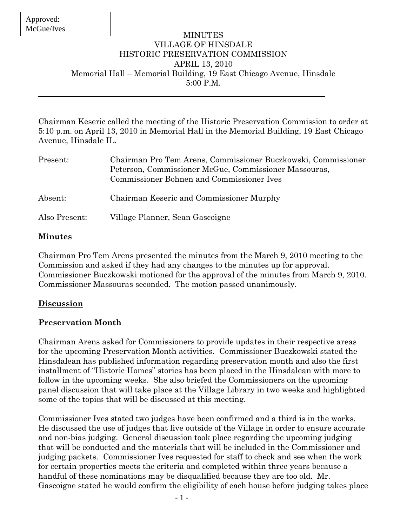#### MINUTES VILLAGE OF HINSDALE HISTORIC PRESERVATION COMMISSION APRIL 13, 2010 Memorial Hall – Memorial Building, 19 East Chicago Avenue, Hinsdale 5:00 P.M.

Chairman Keseric called the meeting of the Historic Preservation Commission to order at 5:10 p.m. on April 13, 2010 in Memorial Hall in the Memorial Building, 19 East Chicago Avenue, Hinsdale IL.

| Present:      | Chairman Pro Tem Arens, Commissioner Buczkowski, Commissioner<br>Peterson, Commissioner McGue, Commissioner Massouras,<br>Commissioner Bohnen and Commissioner Ives |
|---------------|---------------------------------------------------------------------------------------------------------------------------------------------------------------------|
| Absent:       | Chairman Keseric and Commissioner Murphy                                                                                                                            |
| Also Present: | Village Planner, Sean Gascoigne                                                                                                                                     |

#### **Minutes**

Chairman Pro Tem Arens presented the minutes from the March 9, 2010 meeting to the Commission and asked if they had any changes to the minutes up for approval. Commissioner Buczkowski motioned for the approval of the minutes from March 9, 2010. Commissioner Massouras seconded. The motion passed unanimously.

## **Discussion**

## **Preservation Month**

Chairman Arens asked for Commissioners to provide updates in their respective areas for the upcoming Preservation Month activities. Commissioner Buczkowski stated the Hinsdalean has published information regarding preservation month and also the first installment of "Historic Homes" stories has been placed in the Hinsdalean with more to follow in the upcoming weeks. She also briefed the Commissioners on the upcoming panel discussion that will take place at the Village Library in two weeks and highlighted some of the topics that will be discussed at this meeting.

Commissioner Ives stated two judges have been confirmed and a third is in the works. He discussed the use of judges that live outside of the Village in order to ensure accurate and non-bias judging. General discussion took place regarding the upcoming judging that will be conducted and the materials that will be included in the Commissioner and judging packets.Commissioner Ives requested for staff to check and see when the work for certain properties meets the criteria and completed within three years because a handful of these nominations may be disqualified because they are too old. Mr. Gascoigne stated he would confirm the eligibility of each house before judging takes place